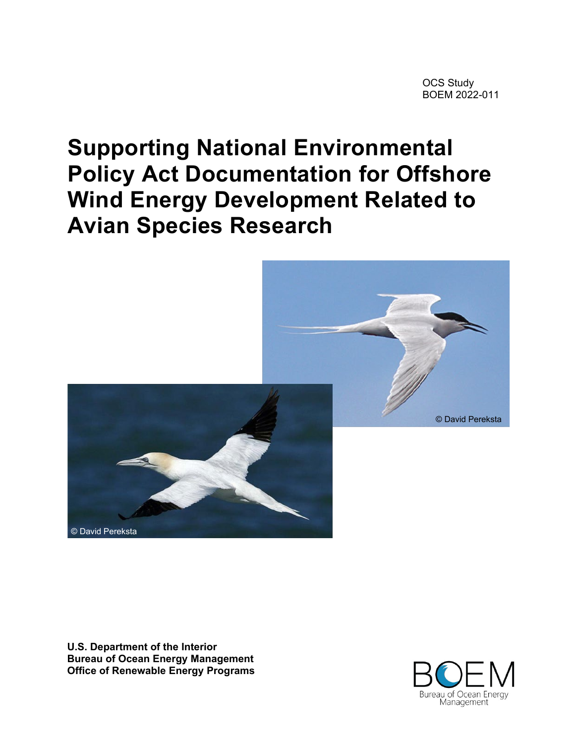# **Supporting National Environmental Policy Act Documentation for Offshore Wind Energy Development Related to Avian Species Research**



**U.S. Department of the Interior Bureau of Ocean Energy Management Office of Renewable Energy Programs**

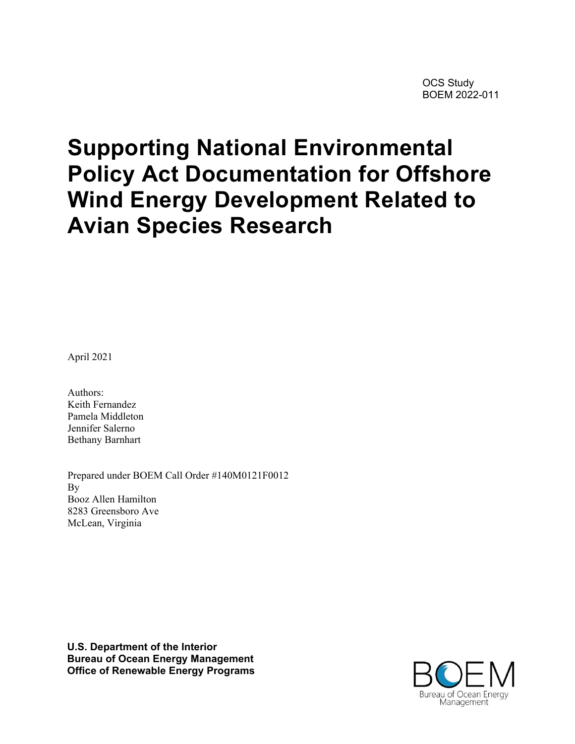# **Supporting National Environmental Policy Act Documentation for Offshore Wind Energy Development Related to Avian Species Research**

April 2021

Authors: Keith Fernandez Pamela Middleton Jennifer Salerno Bethany Barnhart

Prepared under BOEM Call Order #140M0121F0012 By Booz Allen Hamilton 8283 Greensboro Ave McLean, Virginia

**U.S. Department of the Interior Bureau of Ocean Energy Management Office of Renewable Energy Programs**

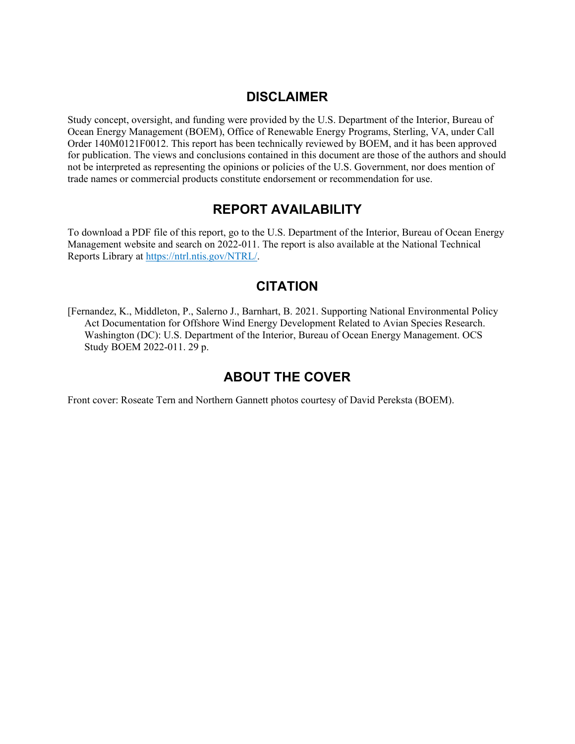# **DISCLAIMER**

Study concept, oversight, and funding were provided by the U.S. Department of the Interior, Bureau of Ocean Energy Management (BOEM), Office of Renewable Energy Programs, Sterling, VA, under Call Order 140M0121F0012. This report has been technically reviewed by BOEM, and it has been approved for publication. The views and conclusions contained in this document are those of the authors and should not be interpreted as representing the opinions or policies of the U.S. Government, nor does mention of trade names or commercial products constitute endorsement or recommendation for use.

# **REPORT AVAILABILITY**

To download a PDF file of this report, go to the U.S. Department of the Interior, Bureau of Ocean Energy Management website and search on 2022-011. The report is also available at the National Technical Reports Library at [https://ntrl.ntis.gov/NTRL/.](https://ntrl.ntis.gov/NTRL/)

# **CITATION**

[Fernandez, K., Middleton, P., Salerno J., Barnhart, B. 2021. Supporting National Environmental Policy Act Documentation for Offshore Wind Energy Development Related to Avian Species Research. Washington (DC): U.S. Department of the Interior, Bureau of Ocean Energy Management. OCS Study BOEM 2022-011. 29 p.

# **ABOUT THE COVER**

Front cover: Roseate Tern and Northern Gannett photos courtesy of David Pereksta (BOEM).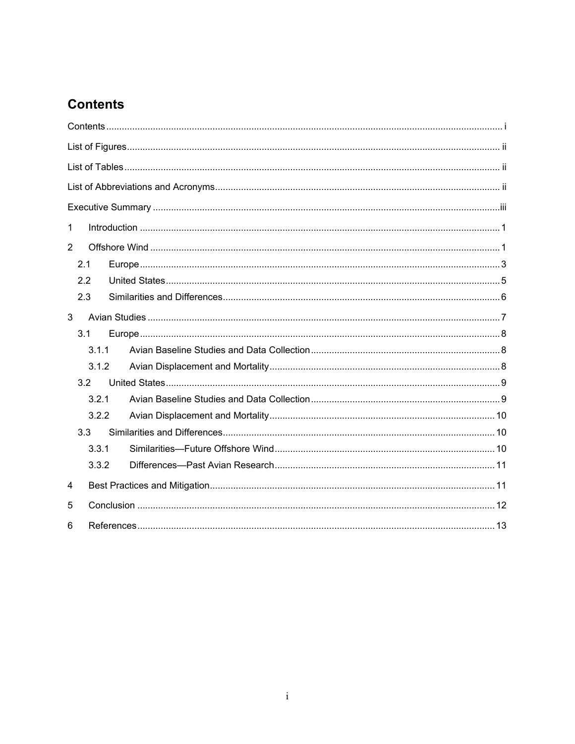# <span id="page-3-0"></span>**Contents**

| 1              |       |  |  |  |  |  |  |
|----------------|-------|--|--|--|--|--|--|
| $\overline{2}$ |       |  |  |  |  |  |  |
|                | 2.1   |  |  |  |  |  |  |
|                | 2.2   |  |  |  |  |  |  |
|                | 2.3   |  |  |  |  |  |  |
| 3              |       |  |  |  |  |  |  |
|                | 3.1   |  |  |  |  |  |  |
|                | 3.1.1 |  |  |  |  |  |  |
|                | 3.1.2 |  |  |  |  |  |  |
|                | 3.2   |  |  |  |  |  |  |
|                | 3.2.1 |  |  |  |  |  |  |
|                | 3.2.2 |  |  |  |  |  |  |
|                | 3.3   |  |  |  |  |  |  |
|                | 3.3.1 |  |  |  |  |  |  |
|                | 3.3.2 |  |  |  |  |  |  |
| 4              |       |  |  |  |  |  |  |
| 5              |       |  |  |  |  |  |  |
| 6              |       |  |  |  |  |  |  |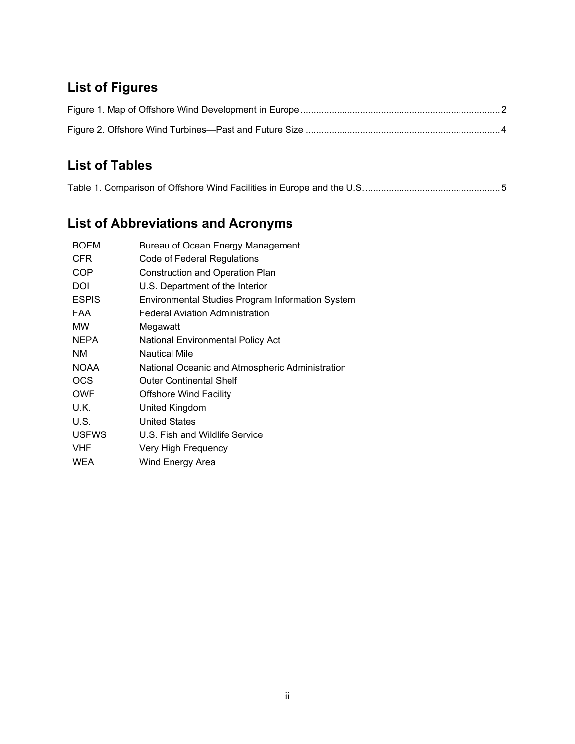# <span id="page-4-0"></span>**List of Figures**

# <span id="page-4-1"></span>**List of Tables**

<span id="page-4-2"></span>

|--|

# **List of Abbreviations and Acronyms**

| <b>BOEM</b>  | Bureau of Ocean Energy Management                |
|--------------|--------------------------------------------------|
| <b>CFR</b>   | Code of Federal Regulations                      |
| <b>COP</b>   | <b>Construction and Operation Plan</b>           |
| DOI          | U.S. Department of the Interior                  |
| <b>ESPIS</b> | Environmental Studies Program Information System |
| <b>FAA</b>   | <b>Federal Aviation Administration</b>           |
| <b>MW</b>    | Megawatt                                         |
| <b>NEPA</b>  | National Environmental Policy Act                |
| <b>NM</b>    | <b>Nautical Mile</b>                             |
| <b>NOAA</b>  | National Oceanic and Atmospheric Administration  |
| <b>OCS</b>   | <b>Outer Continental Shelf</b>                   |
| <b>OWF</b>   | <b>Offshore Wind Facility</b>                    |
| U.K.         | United Kingdom                                   |
| U.S.         | <b>United States</b>                             |
| <b>USFWS</b> | U.S. Fish and Wildlife Service                   |
| <b>VHF</b>   | Very High Frequency                              |
| <b>WEA</b>   | Wind Energy Area                                 |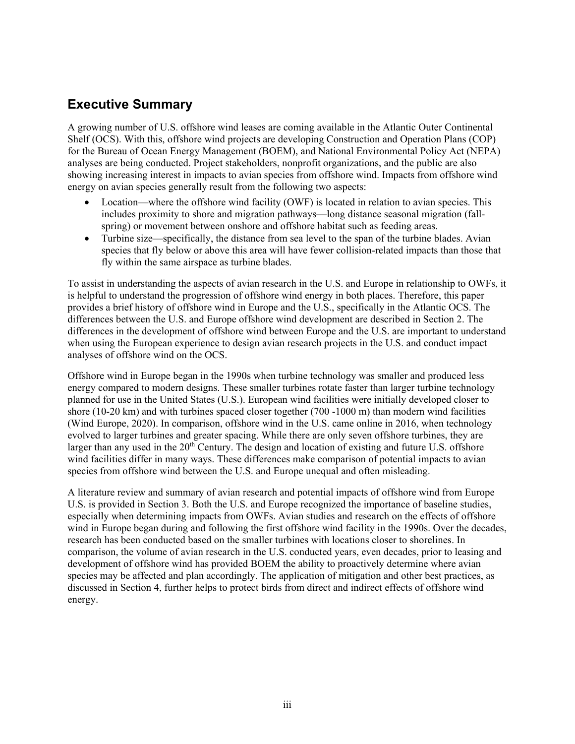# <span id="page-5-0"></span>**Executive Summary**

A growing number of U.S. offshore wind leases are coming available in the Atlantic Outer Continental Shelf (OCS). With this, offshore wind projects are developing Construction and Operation Plans (COP) for the Bureau of Ocean Energy Management (BOEM), and National Environmental Policy Act (NEPA) analyses are being conducted. Project stakeholders, nonprofit organizations, and the public are also showing increasing interest in impacts to avian species from offshore wind. Impacts from offshore wind energy on avian species generally result from the following two aspects:

- Location—where the offshore wind facility (OWF) is located in relation to avian species. This includes proximity to shore and migration pathways—long distance seasonal migration (fallspring) or movement between onshore and offshore habitat such as feeding areas.
- Turbine size—specifically, the distance from sea level to the span of the turbine blades. Avian species that fly below or above this area will have fewer collision-related impacts than those that fly within the same airspace as turbine blades.

To assist in understanding the aspects of avian research in the U.S. and Europe in relationship to OWFs, it is helpful to understand the progression of offshore wind energy in both places. Therefore, this paper provides a brief history of offshore wind in Europe and the U.S., specifically in the Atlantic OCS. The differences between the U.S. and Europe offshore wind development are described in Section 2. The differences in the development of offshore wind between Europe and the U.S. are important to understand when using the European experience to design avian research projects in the U.S. and conduct impact analyses of offshore wind on the OCS.

Offshore wind in Europe began in the 1990s when turbine technology was smaller and produced less energy compared to modern designs. These smaller turbines rotate faster than larger turbine technology planned for use in the United States (U.S.). European wind facilities were initially developed closer to shore (10-20 km) and with turbines spaced closer together (700 -1000 m) than modern wind facilities (Wind Europe, 2020). In comparison, offshore wind in the U.S. came online in 2016, when technology evolved to larger turbines and greater spacing. While there are only seven offshore turbines, they are larger than any used in the  $20<sup>th</sup>$  Century. The design and location of existing and future U.S. offshore wind facilities differ in many ways. These differences make comparison of potential impacts to avian species from offshore wind between the U.S. and Europe unequal and often misleading.

A literature review and summary of avian research and potential impacts of offshore wind from Europe U.S. is provided in Section 3. Both the U.S. and Europe recognized the importance of baseline studies, especially when determining impacts from OWFs. Avian studies and research on the effects of offshore wind in Europe began during and following the first offshore wind facility in the 1990s. Over the decades, research has been conducted based on the smaller turbines with locations closer to shorelines. In comparison, the volume of avian research in the U.S. conducted years, even decades, prior to leasing and development of offshore wind has provided BOEM the ability to proactively determine where avian species may be affected and plan accordingly. The application of mitigation and other best practices, as discussed in Section 4, further helps to protect birds from direct and indirect effects of offshore wind energy.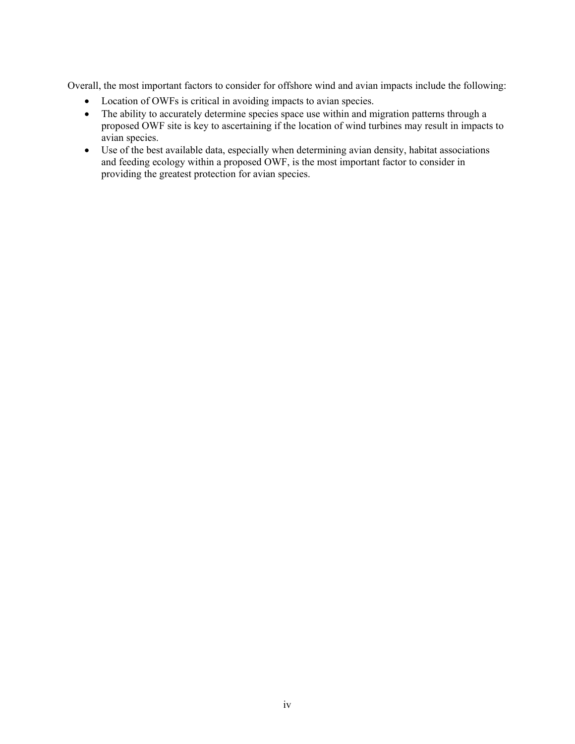Overall, the most important factors to consider for offshore wind and avian impacts include the following:

- Location of OWFs is critical in avoiding impacts to avian species.
- The ability to accurately determine species space use within and migration patterns through a proposed OWF site is key to ascertaining if the location of wind turbines may result in impacts to avian species.
- Use of the best available data, especially when determining avian density, habitat associations and feeding ecology within a proposed OWF, is the most important factor to consider in providing the greatest protection for avian species.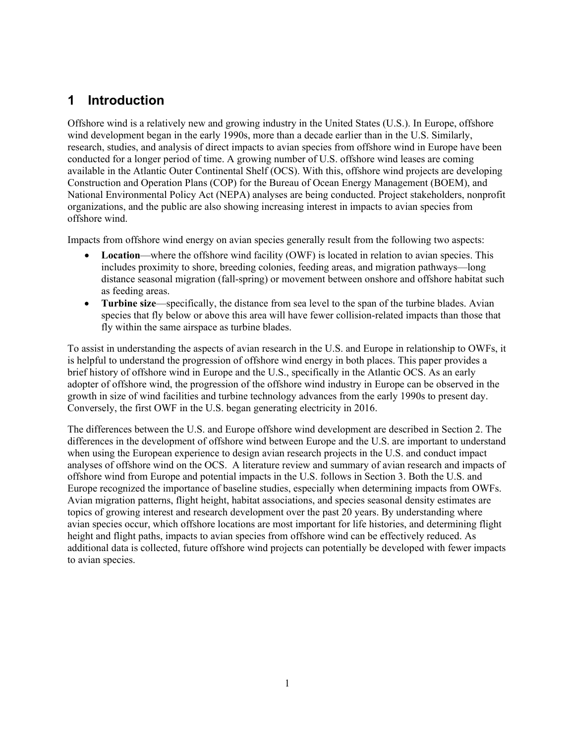# <span id="page-7-0"></span>**1 Introduction**

Offshore wind is a relatively new and growing industry in the United States (U.S.). In Europe, offshore wind development began in the early 1990s, more than a decade earlier than in the U.S. Similarly, research, studies, and analysis of direct impacts to avian species from offshore wind in Europe have been conducted for a longer period of time. A growing number of U.S. offshore wind leases are coming available in the Atlantic Outer Continental Shelf (OCS). With this, offshore wind projects are developing Construction and Operation Plans (COP) for the Bureau of Ocean Energy Management (BOEM), and National Environmental Policy Act (NEPA) analyses are being conducted. Project stakeholders, nonprofit organizations, and the public are also showing increasing interest in impacts to avian species from offshore wind.

Impacts from offshore wind energy on avian species generally result from the following two aspects:

- **Location**—where the offshore wind facility (OWF) is located in relation to avian species. This includes proximity to shore, breeding colonies, feeding areas, and migration pathways—long distance seasonal migration (fall-spring) or movement between onshore and offshore habitat such as feeding areas.
- **Turbine size**—specifically, the distance from sea level to the span of the turbine blades. Avian species that fly below or above this area will have fewer collision-related impacts than those that fly within the same airspace as turbine blades.

To assist in understanding the aspects of avian research in the U.S. and Europe in relationship to OWFs, it is helpful to understand the progression of offshore wind energy in both places. This paper provides a brief history of offshore wind in Europe and the U.S., specifically in the Atlantic OCS. As an early adopter of offshore wind, the progression of the offshore wind industry in Europe can be observed in the growth in size of wind facilities and turbine technology advances from the early 1990s to present day. Conversely, the first OWF in the U.S. began generating electricity in 2016.

<span id="page-7-1"></span>The differences between the U.S. and Europe offshore wind development are described in Section 2. The differences in the development of offshore wind between Europe and the U.S. are important to understand when using the European experience to design avian research projects in the U.S. and conduct impact analyses of offshore wind on the OCS. A literature review and summary of avian research and impacts of offshore wind from Europe and potential impacts in the U.S. follows in Section 3. Both the U.S. and Europe recognized the importance of baseline studies, especially when determining impacts from OWFs. Avian migration patterns, flight height, habitat associations, and species seasonal density estimates are topics of growing interest and research development over the past 20 years. By understanding where avian species occur, which offshore locations are most important for life histories, and determining flight height and flight paths, impacts to avian species from offshore wind can be effectively reduced. As additional data is collected, future offshore wind projects can potentially be developed with fewer impacts to avian species.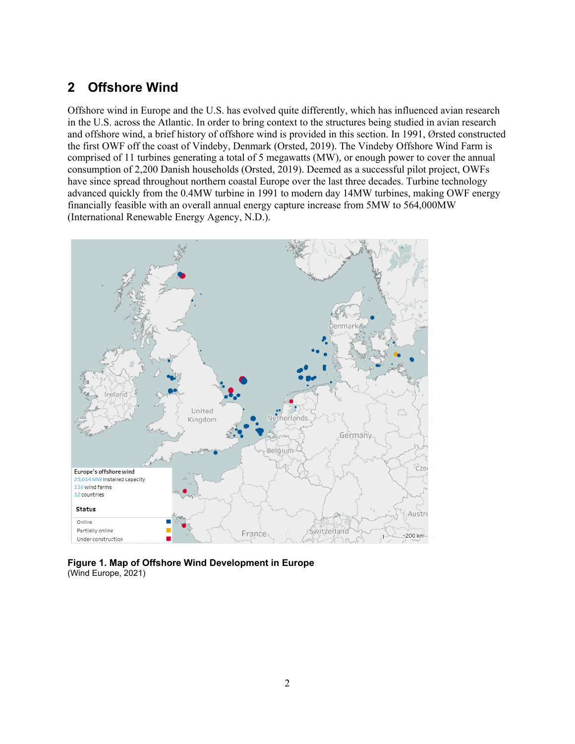# **2 Offshore Wind**

Offshore wind in Europe and the U.S. has evolved quite differently, which has influenced avian research in the U.S. across the Atlantic. In order to bring context to the structures being studied in avian research and offshore wind, a brief history of offshore wind is provided in this section. In 1991, Ørsted constructed the first OWF off the coast of Vindeby, Denmark (Orsted, 2019). The Vindeby Offshore Wind Farm is comprised of 11 turbines generating a total of 5 megawatts (MW), or enough power to cover the annual consumption of 2,200 Danish households (Orsted, 2019). Deemed as a successful pilot project, OWFs have since spread throughout northern coastal Europe over the last three decades. Turbine technology advanced quickly from the 0.4MW turbine in 1991 to modern day 14MW turbines, making OWF energy financially feasible with an overall annual energy capture increase from 5MW to 564,000MW (International Renewable Energy Agency, N.D.).



<span id="page-8-0"></span>**Figure 1. Map of Offshore Wind Development in Europe** (Wind Europe, 2021)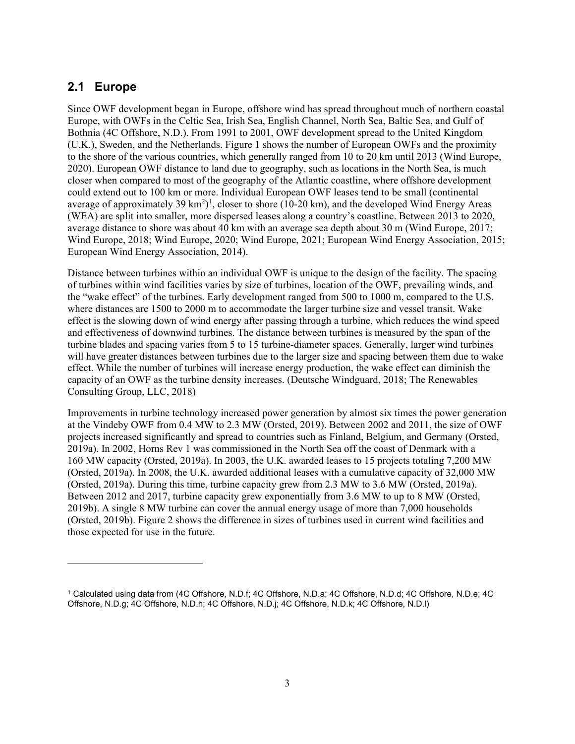#### <span id="page-9-0"></span>**2.1 Europe**

Since OWF development began in Europe, offshore wind has spread throughout much of northern coastal Europe, with OWFs in the Celtic Sea, Irish Sea, English Channel, North Sea, Baltic Sea, and Gulf of Bothnia (4C Offshore, N.D.). From 1991 to 2001, OWF development spread to the United Kingdom (U.K.), Sweden, and the Netherlands. [Figure 1](#page-8-0) shows the number of European OWFs and the proximity to the shore of the various countries, which generally ranged from 10 to 20 km until 2013 (Wind Europe, 2020). European OWF distance to land due to geography, such as locations in the North Sea, is much closer when compared to most of the geography of the Atlantic coastline, where offshore development could extend out to 100 km or more. Individual European OWF leases tend to be small (continental average of approximately 39  $\text{km}^2$ <sup>[1](#page-9-1)</sup>, closer to shore (10-20 km), and the developed Wind Energy Areas (WEA) are split into smaller, more dispersed leases along a country's coastline. Between 2013 to 2020, average distance to shore was about 40 km with an average sea depth about 30 m (Wind Europe, 2017; Wind Europe, 2018; Wind Europe, 2020; Wind Europe, 2021; European Wind Energy Association, 2015; European Wind Energy Association, 2014).

Distance between turbines within an individual OWF is unique to the design of the facility. The spacing of turbines within wind facilities varies by size of turbines, location of the OWF, prevailing winds, and the "wake effect" of the turbines. Early development ranged from 500 to 1000 m, compared to the U.S. where distances are 1500 to 2000 m to accommodate the larger turbine size and vessel transit. Wake effect is the slowing down of wind energy after passing through a turbine, which reduces the wind speed and effectiveness of downwind turbines. The distance between turbines is measured by the span of the turbine blades and spacing varies from 5 to 15 turbine-diameter spaces. Generally, larger wind turbines will have greater distances between turbines due to the larger size and spacing between them due to wake effect. While the number of turbines will increase energy production, the wake effect can diminish the capacity of an OWF as the turbine density increases. (Deutsche Windguard, 2018; The Renewables Consulting Group, LLC, 2018)

Improvements in turbine technology increased power generation by almost six times the power generation at the Vindeby OWF from 0.4 MW to 2.3 MW (Orsted, 2019). Between 2002 and 2011, the size of OWF projects increased significantly and spread to countries such as Finland, Belgium, and Germany (Orsted, 2019a). In 2002, Horns Rev 1 was commissioned in the North Sea off the coast of Denmark with a 160 MW capacity (Orsted, 2019a). In 2003, the U.K. awarded leases to 15 projects totaling 7,200 MW (Orsted, 2019a). In 2008, the U.K. awarded additional leases with a cumulative capacity of 32,000 MW (Orsted, 2019a). During this time, turbine capacity grew from 2.3 MW to 3.6 MW (Orsted, 2019a). Between 2012 and 2017, turbine capacity grew exponentially from 3.6 MW to up to 8 MW (Orsted, 2019b). A single 8 MW turbine can cover the annual energy usage of more than 7,000 households (Orsted, 2019b). [Figure 2](#page-10-0) shows the difference in sizes of turbines used in current wind facilities and those expected for use in the future.

<span id="page-9-1"></span><sup>1</sup> Calculated using data from (4C Offshore, N.D.f; 4C Offshore, N.D.a; 4C Offshore, N.D.d; 4C Offshore, N.D.e; 4C Offshore, N.D.g; 4C Offshore, N.D.h; 4C Offshore, N.D.j; 4C Offshore, N.D.k; 4C Offshore, N.D.l)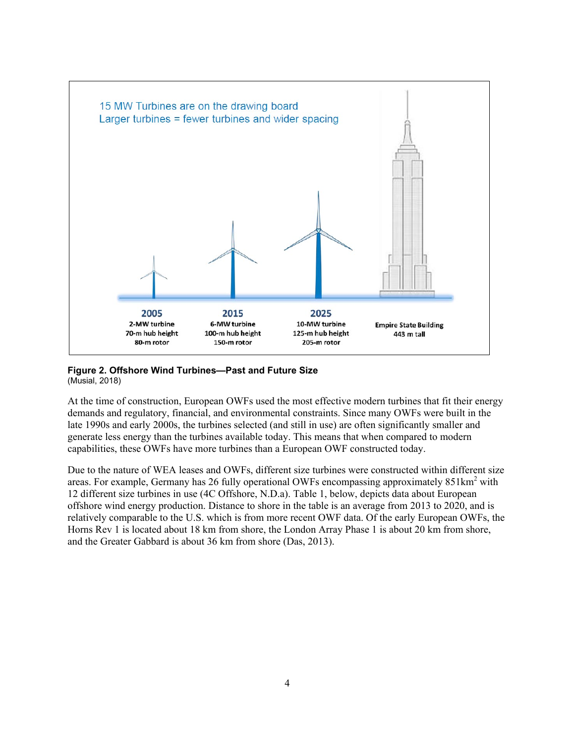![](_page_10_Figure_0.jpeg)

#### <span id="page-10-0"></span>**Figure 2. Offshore Wind Turbines—Past and Future Size** (Musial, 2018)

At the time of construction, European OWFs used the most effective modern turbines that fit their energy demands and regulatory, financial, and environmental constraints. Since many OWFs were built in the late 1990s and early 2000s, the turbines selected (and still in use) are often significantly smaller and generate less energy than the turbines available today. This means that when compared to modern capabilities, these OWFs have more turbines than a European OWF constructed today.

Due to the nature of WEA leases and OWFs, different size turbines were constructed within different size areas. For example, Germany has 26 fully operational OWFs encompassing approximately  $851 \text{km}^2$  with 12 different size turbines in use (4C Offshore, N.D.a). [Table 1,](#page-11-1) below, depicts data about European offshore wind energy production. Distance to shore in the table is an average from 2013 to 2020, and is relatively comparable to the U.S. which is from more recent OWF data. Of the early European OWFs, the Horns Rev 1 is located about 18 km from shore, the London Array Phase 1 is about 20 km from shore, and the Greater Gabbard is about 36 km from shore (Das, 2013).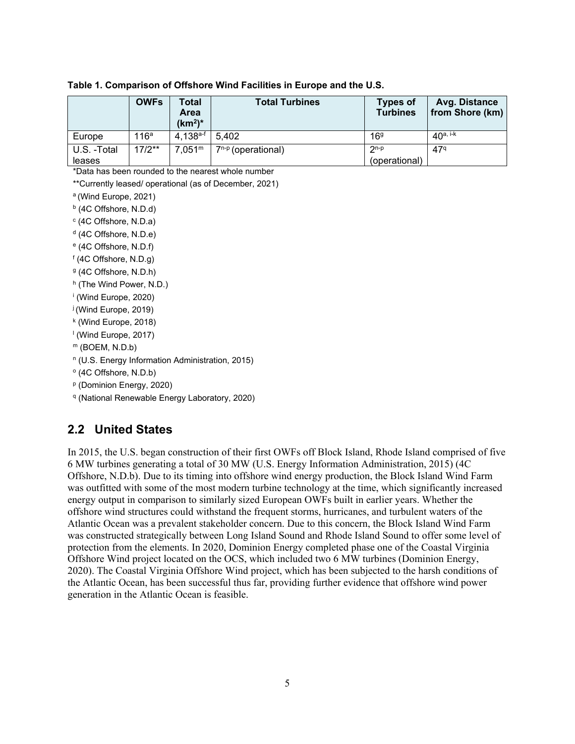|                       | <b>OWFs</b>      | Total<br><b>Area</b><br>$(km2)*$ | <b>Total Turbines</b>   | <b>Types of</b><br><b>Turbines</b> | Avg. Distance<br>from Shore (km) |
|-----------------------|------------------|----------------------------------|-------------------------|------------------------------------|----------------------------------|
| Europe                | 116 <sup>a</sup> | $4.138^{a-f}$                    | 5.402                   | 169                                | $40a, i-k$                       |
| U.S. -Total<br>leases | $17/2**$         | 7.051 <sup>m</sup>               | $7^{n-p}$ (operational) | $2^{n-p}$<br>(operational)         | 47 <sup>q</sup>                  |

<span id="page-11-1"></span>**Table 1. Comparison of Offshore Wind Facilities in Europe and the U.S.**

\*Data has been rounded to the nearest whole number

\*\*Currently leased/ operational (as of December, 2021)

a (Wind Europe, 2021)

<sup>b</sup> (4C Offshore, N.D.d)

- <sup>c</sup> (4C Offshore, N.D.a)
- <sup>d</sup> (4C Offshore, N.D.e)
- <sup>e</sup> (4C Offshore, N.D.f)
- <sup>f</sup> (4C Offshore, N.D.g)
- <sup>g</sup> (4C Offshore, N.D.h)
- h (The Wind Power, N.D.)
- <sup>i</sup> (Wind Europe, 2020)
- j (Wind Europe, 2019)
- <sup>k</sup> (Wind Europe, 2018)
- $\frac{1}{2}$  (Wind Europe, 2017)
- $<sup>m</sup>$  (BOEM, N.D.b)</sup>
- <sup>n</sup> (U.S. Energy Information Administration, 2015)
- <sup>o</sup> (4C Offshore, N.D.b)
- <sup>p</sup> (Dominion Energy, 2020)
- <span id="page-11-0"></span><sup>q</sup> (National Renewable Energy Laboratory, 2020)

#### **2.2 United States**

In 2015, the U.S. began construction of their first OWFs off Block Island, Rhode Island comprised of five 6 MW turbines generating a total of 30 MW (U.S. Energy Information Administration, 2015) (4C Offshore, N.D.b). Due to its timing into offshore wind energy production, the Block Island Wind Farm was outfitted with some of the most modern turbine technology at the time, which significantly increased energy output in comparison to similarly sized European OWFs built in earlier years. Whether the offshore wind structures could withstand the frequent storms, hurricanes, and turbulent waters of the Atlantic Ocean was a prevalent stakeholder concern. Due to this concern, the Block Island Wind Farm was constructed strategically between Long Island Sound and Rhode Island Sound to offer some level of protection from the elements. In 2020, Dominion Energy completed phase one of the Coastal Virginia Offshore Wind project located on the OCS, which included two 6 MW turbines (Dominion Energy, 2020). The Coastal Virginia Offshore Wind project, which has been subjected to the harsh conditions of the Atlantic Ocean, has been successful thus far, providing further evidence that offshore wind power generation in the Atlantic Ocean is feasible.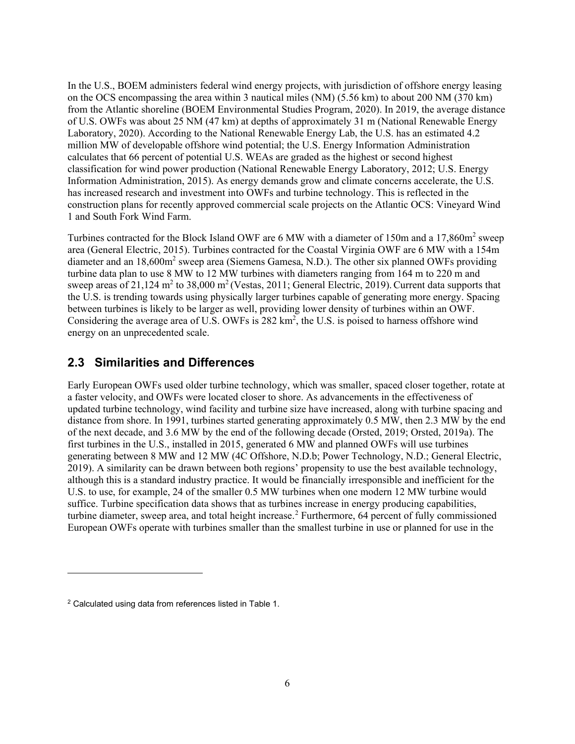In the U.S., BOEM administers federal wind energy projects, with jurisdiction of offshore energy leasing on the OCS encompassing the area within 3 nautical miles (NM) (5.56 km) to about 200 NM (370 km) from the Atlantic shoreline (BOEM Environmental Studies Program, 2020). In 2019, the average distance of U.S. OWFs was about 25 NM (47 km) at depths of approximately 31 m (National Renewable Energy Laboratory, 2020). According to the National Renewable Energy Lab, the U.S. has an estimated 4.2 million MW of developable offshore wind potential; the U.S. Energy Information Administration calculates that 66 percent of potential U.S. WEAs are graded as the highest or second highest classification for wind power production (National Renewable Energy Laboratory, 2012; U.S. Energy Information Administration, 2015). As energy demands grow and climate concerns accelerate, the U.S. has increased research and investment into OWFs and turbine technology. This is reflected in the construction plans for recently approved commercial scale projects on the Atlantic OCS: Vineyard Wind 1 and South Fork Wind Farm.

Turbines contracted for the Block Island OWF are 6 MW with a diameter of 150m and a 17,860m<sup>2</sup> sweep area (General Electric, 2015). Turbines contracted for the Coastal Virginia OWF are 6 MW with a 154m diameter and an 18,600m<sup>2</sup> sweep area (Siemens Gamesa, N.D.). The other six planned OWFs providing turbine data plan to use 8 MW to 12 MW turbines with diameters ranging from 164 m to 220 m and sweep areas of 21,124  $m^2$  to 38,000  $m^2$  (Vestas, 2011; General Electric, 2019). Current data supports that the U.S. is trending towards using physically larger turbines capable of generating more energy. Spacing between turbines is likely to be larger as well, providing lower density of turbines within an OWF. Considering the average area of U.S. OWFs is 282 km<sup>2</sup>, the U.S. is poised to harness offshore wind energy on an unprecedented scale.

#### <span id="page-12-0"></span>**2.3 Similarities and Differences**

Early European OWFs used older turbine technology, which was smaller, spaced closer together, rotate at a faster velocity, and OWFs were located closer to shore. As advancements in the effectiveness of updated turbine technology, wind facility and turbine size have increased, along with turbine spacing and distance from shore. In 1991, turbines started generating approximately 0.5 MW, then 2.3 MW by the end of the next decade, and 3.6 MW by the end of the following decade (Orsted, 2019; Orsted, 2019a). The first turbines in the U.S., installed in 2015, generated 6 MW and planned OWFs will use turbines generating between 8 MW and 12 MW (4C Offshore, N.D.b; Power Technology, N.D.; General Electric, 2019). A similarity can be drawn between both regions' propensity to use the best available technology, although this is a standard industry practice. It would be financially irresponsible and inefficient for the U.S. to use, for example, 24 of the smaller 0.5 MW turbines when one modern 12 MW turbine would suffice. Turbine specification data shows that as turbines increase in energy producing capabilities, turbine diameter, sweep area, and total height increase.<sup>[2](#page-12-1)</sup> Furthermore, 64 percent of fully commissioned European OWFs operate with turbines smaller than the smallest turbine in use or planned for use in the

<span id="page-12-1"></span><sup>2</sup> Calculated using data from references listed in Table 1.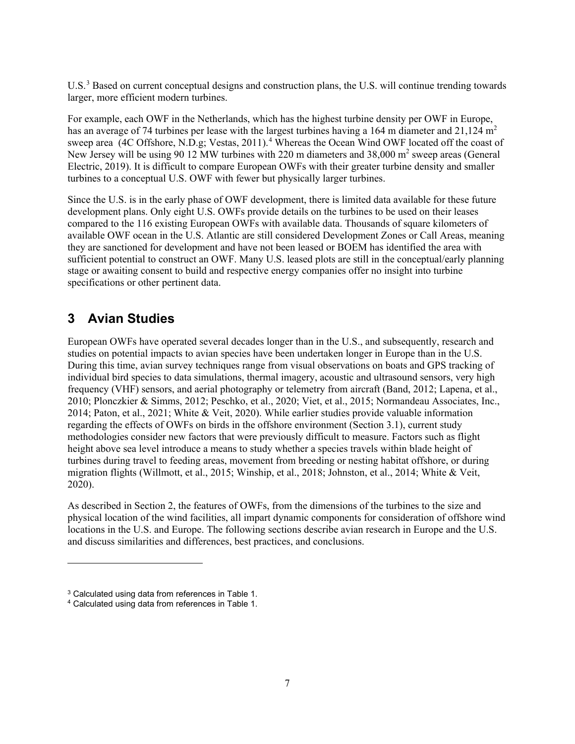U.S.<sup>[3](#page-13-1)</sup> Based on current conceptual designs and construction plans, the U.S. will continue trending towards larger, more efficient modern turbines.

For example, each OWF in the Netherlands, which has the highest turbine density per OWF in Europe, has an average of 74 turbines per lease with the largest turbines having a 164 m diameter and 21,124 m<sup>2</sup> sweep area (4C Offshore, N.D.g; Vestas, 2011). [4](#page-13-2) Whereas the Ocean Wind OWF located off the coast of New Jersey will be using 90 12 MW turbines with 220 m diameters and 38,000 m<sup>2</sup> sweep areas (General Electric, 2019). It is difficult to compare European OWFs with their greater turbine density and smaller turbines to a conceptual U.S. OWF with fewer but physically larger turbines.

Since the U.S. is in the early phase of OWF development, there is limited data available for these future development plans. Only eight U.S. OWFs provide details on the turbines to be used on their leases compared to the 116 existing European OWFs with available data. Thousands of square kilometers of available OWF ocean in the U.S. Atlantic are still considered Development Zones or Call Areas, meaning they are sanctioned for development and have not been leased or BOEM has identified the area with sufficient potential to construct an OWF. Many U.S. leased plots are still in the conceptual/early planning stage or awaiting consent to build and respective energy companies offer no insight into turbine specifications or other pertinent data.

# <span id="page-13-0"></span>**3 Avian Studies**

European OWFs have operated several decades longer than in the U.S., and subsequently, research and studies on potential impacts to avian species have been undertaken longer in Europe than in the U.S. During this time, avian survey techniques range from visual observations on boats and GPS tracking of individual bird species to data simulations, thermal imagery, acoustic and ultrasound sensors, very high frequency (VHF) sensors, and aerial photography or telemetry from aircraft (Band, 2012; Lapena, et al., 2010; Plonczkier & Simms, 2012; Peschko, et al., 2020; Viet, et al., 2015; Normandeau Associates, Inc., 2014; Paton, et al., 2021; White & Veit, 2020). While earlier studies provide valuable information regarding the effects of OWFs on birds in the offshore environment (Section 3.1), current study methodologies consider new factors that were previously difficult to measure. Factors such as flight height above sea level introduce a means to study whether a species travels within blade height of turbines during travel to feeding areas, movement from breeding or nesting habitat offshore, or during migration flights (Willmott, et al., 2015; Winship, et al., 2018; Johnston, et al., 2014; White & Veit, 2020).

As described in Section 2, the features of OWFs, from the dimensions of the turbines to the size and physical location of the wind facilities, all impart dynamic components for consideration of offshore wind locations in the U.S. and Europe. The following sections describe avian research in Europe and the U.S. and discuss similarities and differences, best practices, and conclusions.

<span id="page-13-1"></span><sup>&</sup>lt;sup>3</sup> Calculated using data from references in Table 1.

<span id="page-13-2"></span><sup>4</sup> Calculated using data from references in Table 1.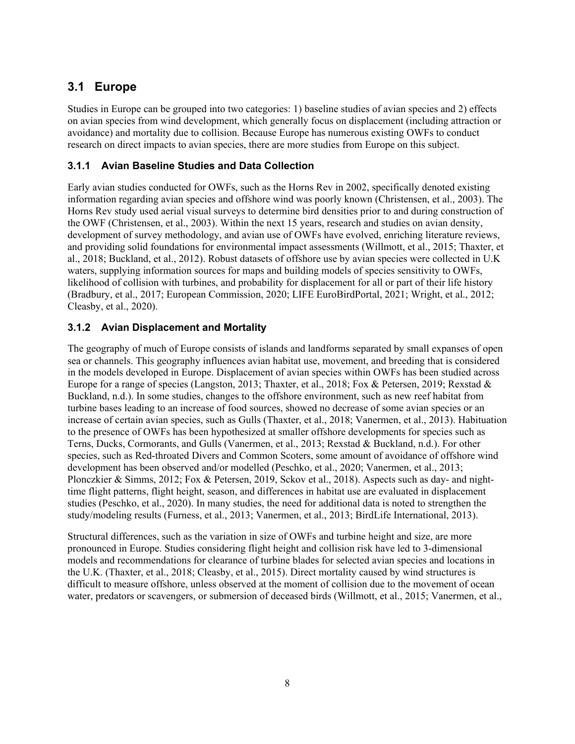# <span id="page-14-0"></span>**3.1 Europe**

Studies in Europe can be grouped into two categories: 1) baseline studies of avian species and 2) effects on avian species from wind development, which generally focus on displacement (including attraction or avoidance) and mortality due to collision. Because Europe has numerous existing OWFs to conduct research on direct impacts to avian species, there are more studies from Europe on this subject.

#### <span id="page-14-1"></span>**3.1.1 Avian Baseline Studies and Data Collection**

Early avian studies conducted for OWFs, such as the Horns Rev in 2002, specifically denoted existing information regarding avian species and offshore wind was poorly known (Christensen, et al., 2003). The Horns Rev study used aerial visual surveys to determine bird densities prior to and during construction of the OWF (Christensen, et al., 2003). Within the next 15 years, research and studies on avian density, development of survey methodology, and avian use of OWFs have evolved, enriching literature reviews, and providing solid foundations for environmental impact assessments (Willmott, et al., 2015; Thaxter, et al., 2018; Buckland, et al., 2012). Robust datasets of offshore use by avian species were collected in U.K waters, supplying information sources for maps and building models of species sensitivity to OWFs, likelihood of collision with turbines, and probability for displacement for all or part of their life history (Bradbury, et al., 2017; European Commission, 2020; LIFE EuroBirdPortal, 2021; Wright, et al., 2012; Cleasby, et al., 2020).

#### <span id="page-14-2"></span>**3.1.2 Avian Displacement and Mortality**

The geography of much of Europe consists of islands and landforms separated by small expanses of open sea or channels. This geography influences avian habitat use, movement, and breeding that is considered in the models developed in Europe. Displacement of avian species within OWFs has been studied across Europe for a range of species (Langston, 2013; Thaxter, et al., 2018; Fox & Petersen, 2019; Rexstad & Buckland, n.d.). In some studies, changes to the offshore environment, such as new reef habitat from turbine bases leading to an increase of food sources, showed no decrease of some avian species or an increase of certain avian species, such as Gulls (Thaxter, et al., 2018; Vanermen, et al., 2013). Habituation to the presence of OWFs has been hypothesized at smaller offshore developments for species such as Terns, Ducks, Cormorants, and Gulls (Vanermen, et al., 2013; Rexstad & Buckland, n.d.). For other species, such as Red-throated Divers and Common Scoters, some amount of avoidance of offshore wind development has been observed and/or modelled (Peschko, et al., 2020; Vanermen, et al., 2013; Plonczkier & Simms, 2012; Fox & Petersen, 2019, Sckov et al., 2018). Aspects such as day- and nighttime flight patterns, flight height, season, and differences in habitat use are evaluated in displacement studies (Peschko, et al., 2020). In many studies, the need for additional data is noted to strengthen the study/modeling results (Furness, et al., 2013; Vanermen, et al., 2013; BirdLife International, 2013).

Structural differences, such as the variation in size of OWFs and turbine height and size, are more pronounced in Europe. Studies considering flight height and collision risk have led to 3-dimensional models and recommendations for clearance of turbine blades for selected avian species and locations in the U.K. (Thaxter, et al., 2018; Cleasby, et al., 2015). Direct mortality caused by wind structures is difficult to measure offshore, unless observed at the moment of collision due to the movement of ocean water, predators or scavengers, or submersion of deceased birds (Willmott, et al., 2015; Vanermen, et al.,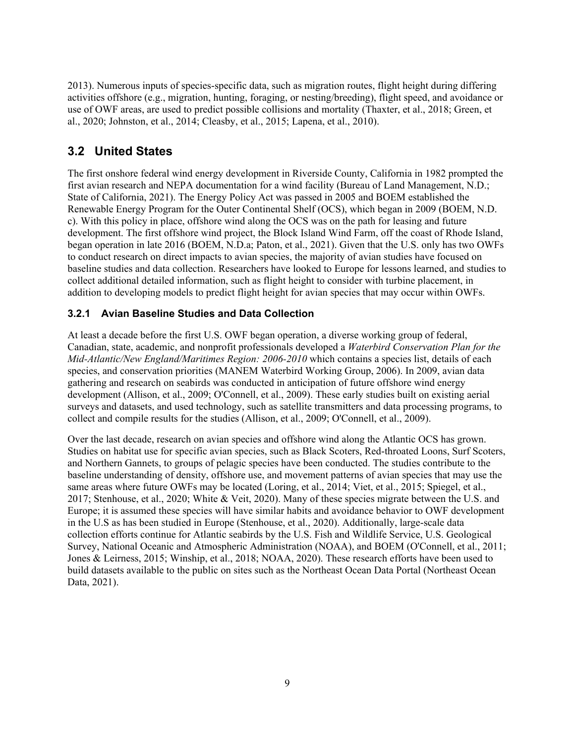2013). Numerous inputs of species-specific data, such as migration routes, flight height during differing activities offshore (e.g., migration, hunting, foraging, or nesting/breeding), flight speed, and avoidance or use of OWF areas, are used to predict possible collisions and mortality (Thaxter, et al., 2018; Green, et al., 2020; Johnston, et al., 2014; Cleasby, et al., 2015; Lapena, et al., 2010).

# <span id="page-15-0"></span>**3.2 United States**

The first onshore federal wind energy development in Riverside County, California in 1982 prompted the first avian research and NEPA documentation for a wind facility (Bureau of Land Management, N.D.; State of California, 2021). The Energy Policy Act was passed in 2005 and BOEM established the Renewable Energy Program for the Outer Continental Shelf (OCS), which began in 2009 (BOEM, N.D. c). With this policy in place, offshore wind along the OCS was on the path for leasing and future development. The first offshore wind project, the Block Island Wind Farm, off the coast of Rhode Island, began operation in late 2016 (BOEM, N.D.a; Paton, et al., 2021). Given that the U.S. only has two OWFs to conduct research on direct impacts to avian species, the majority of avian studies have focused on baseline studies and data collection. Researchers have looked to Europe for lessons learned, and studies to collect additional detailed information, such as flight height to consider with turbine placement, in addition to developing models to predict flight height for avian species that may occur within OWFs.

#### <span id="page-15-1"></span>**3.2.1 Avian Baseline Studies and Data Collection**

At least a decade before the first U.S. OWF began operation, a diverse working group of federal, Canadian, state, academic, and nonprofit professionals developed a *Waterbird Conservation Plan for the Mid-Atlantic/New England/Maritimes Region: 2006-2010* which contains a species list, details of each species, and conservation priorities (MANEM Waterbird Working Group, 2006). In 2009, avian data gathering and research on seabirds was conducted in anticipation of future offshore wind energy development (Allison, et al., 2009; O'Connell, et al., 2009). These early studies built on existing aerial surveys and datasets, and used technology, such as satellite transmitters and data processing programs, to collect and compile results for the studies (Allison, et al., 2009; O'Connell, et al., 2009).

Over the last decade, research on avian species and offshore wind along the Atlantic OCS has grown. Studies on habitat use for specific avian species, such as Black Scoters, Red-throated Loons, Surf Scoters, and Northern Gannets, to groups of pelagic species have been conducted. The studies contribute to the baseline understanding of density, offshore use, and movement patterns of avian species that may use the same areas where future OWFs may be located (Loring, et al., 2014; Viet, et al., 2015; Spiegel, et al., 2017; Stenhouse, et al., 2020; White & Veit, 2020). Many of these species migrate between the U.S. and Europe; it is assumed these species will have similar habits and avoidance behavior to OWF development in the U.S as has been studied in Europe (Stenhouse, et al., 2020). Additionally, large-scale data collection efforts continue for Atlantic seabirds by the U.S. Fish and Wildlife Service, U.S. Geological Survey, National Oceanic and Atmospheric Administration (NOAA), and BOEM (O'Connell, et al., 2011; Jones & Leirness, 2015; Winship, et al., 2018; NOAA, 2020). These research efforts have been used to build datasets available to the public on sites such as the Northeast Ocean Data Portal (Northeast Ocean Data, 2021).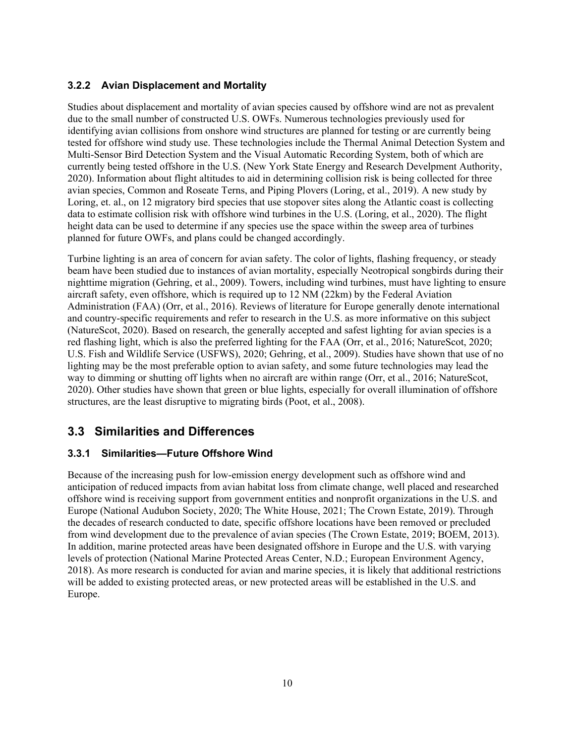#### <span id="page-16-0"></span>**3.2.2 Avian Displacement and Mortality**

Studies about displacement and mortality of avian species caused by offshore wind are not as prevalent due to the small number of constructed U.S. OWFs. Numerous technologies previously used for identifying avian collisions from onshore wind structures are planned for testing or are currently being tested for offshore wind study use. These technologies include the Thermal Animal Detection System and Multi-Sensor Bird Detection System and the Visual Automatic Recording System, both of which are currently being tested offshore in the U.S. (New York State Energy and Research Develpment Authority, 2020). Information about flight altitudes to aid in determining collision risk is being collected for three avian species, Common and Roseate Terns, and Piping Plovers (Loring, et al., 2019). A new study by Loring, et. al., on 12 migratory bird species that use stopover sites along the Atlantic coast is collecting data to estimate collision risk with offshore wind turbines in the U.S. (Loring, et al., 2020). The flight height data can be used to determine if any species use the space within the sweep area of turbines planned for future OWFs, and plans could be changed accordingly.

Turbine lighting is an area of concern for avian safety. The color of lights, flashing frequency, or steady beam have been studied due to instances of avian mortality, especially Neotropical songbirds during their nighttime migration (Gehring, et al., 2009). Towers, including wind turbines, must have lighting to ensure aircraft safety, even offshore, which is required up to 12 NM (22km) by the Federal Aviation Administration (FAA) (Orr, et al., 2016). Reviews of literature for Europe generally denote international and country-specific requirements and refer to research in the U.S. as more informative on this subject (NatureScot, 2020). Based on research, the generally accepted and safest lighting for avian species is a red flashing light, which is also the preferred lighting for the FAA (Orr, et al., 2016; NatureScot, 2020; U.S. Fish and Wildlife Service (USFWS), 2020; Gehring, et al., 2009). Studies have shown that use of no lighting may be the most preferable option to avian safety, and some future technologies may lead the way to dimming or shutting off lights when no aircraft are within range (Orr, et al., 2016; NatureScot, 2020). Other studies have shown that green or blue lights, especially for overall illumination of offshore structures, are the least disruptive to migrating birds (Poot, et al., 2008).

# <span id="page-16-1"></span>**3.3 Similarities and Differences**

#### <span id="page-16-2"></span>**3.3.1 Similarities—Future Offshore Wind**

Because of the increasing push for low-emission energy development such as offshore wind and anticipation of reduced impacts from avian habitat loss from climate change, well placed and researched offshore wind is receiving support from government entities and nonprofit organizations in the U.S. and Europe (National Audubon Society, 2020; The White House, 2021; The Crown Estate, 2019). Through the decades of research conducted to date, specific offshore locations have been removed or precluded from wind development due to the prevalence of avian species (The Crown Estate, 2019; BOEM, 2013). In addition, marine protected areas have been designated offshore in Europe and the U.S. with varying levels of protection (National Marine Protected Areas Center, N.D.; European Environment Agency, 2018). As more research is conducted for avian and marine species, it is likely that additional restrictions will be added to existing protected areas, or new protected areas will be established in the U.S. and Europe.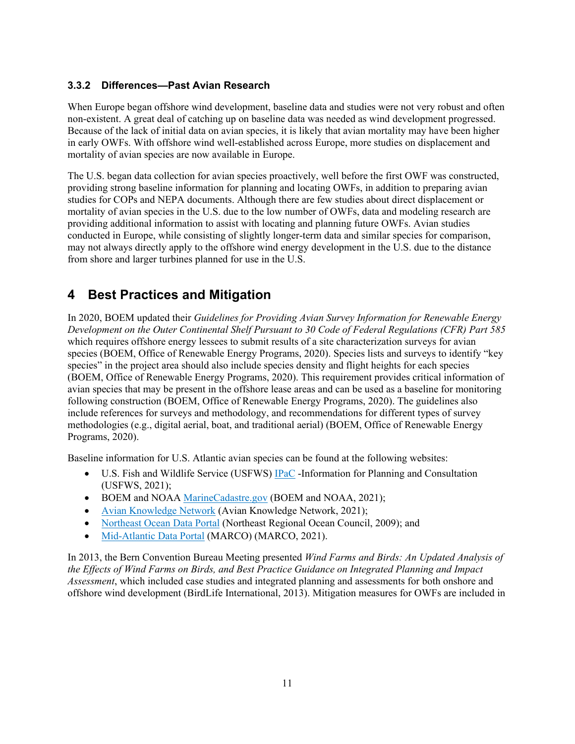#### <span id="page-17-0"></span>**3.3.2 Differences—Past Avian Research**

When Europe began offshore wind development, baseline data and studies were not very robust and often non-existent. A great deal of catching up on baseline data was needed as wind development progressed. Because of the lack of initial data on avian species, it is likely that avian mortality may have been higher in early OWFs. With offshore wind well-established across Europe, more studies on displacement and mortality of avian species are now available in Europe.

The U.S. began data collection for avian species proactively, well before the first OWF was constructed, providing strong baseline information for planning and locating OWFs, in addition to preparing avian studies for COPs and NEPA documents. Although there are few studies about direct displacement or mortality of avian species in the U.S. due to the low number of OWFs, data and modeling research are providing additional information to assist with locating and planning future OWFs. Avian studies conducted in Europe, while consisting of slightly longer-term data and similar species for comparison, may not always directly apply to the offshore wind energy development in the U.S. due to the distance from shore and larger turbines planned for use in the U.S.

# <span id="page-17-1"></span>**4 Best Practices and Mitigation**

In 2020, BOEM updated their *Guidelines for Providing Avian Survey Information for Renewable Energy Development on the Outer Continental Shelf Pursuant to 30 Code of Federal Regulations (CFR) Part 585* which requires offshore energy lessees to submit results of a site characterization surveys for avian species (BOEM, Office of Renewable Energy Programs, 2020). Species lists and surveys to identify "key species" in the project area should also include species density and flight heights for each species (BOEM, Office of Renewable Energy Programs, 2020). This requirement provides critical information of avian species that may be present in the offshore lease areas and can be used as a baseline for monitoring following construction (BOEM, Office of Renewable Energy Programs, 2020). The guidelines also include references for surveys and methodology, and recommendations for different types of survey methodologies (e.g., digital aerial, boat, and traditional aerial) (BOEM, Office of Renewable Energy Programs, 2020).

Baseline information for U.S. Atlantic avian species can be found at the following websites:

- U.S. Fish and Wildlife Service (USFWS) [IPaC](https://ipac.ecosphere.fws.gov/) -Information for Planning and Consultation (USFWS, 2021);
- BOEM and NOAA [MarineCadastre.gov](https://marinecadastre.gov/) (BOEM and NOAA, 2021);
- [Avian Knowledge Network](https://avianknowledge.net/) (Avian Knowledge Network, 2021);
- [Northeast Ocean Data](https://www.northeastoceandata.org/) Portal (Northeast Regional Ocean Council, 2009); and
- [Mid-Atlantic Data Portal](https://portal.midatlanticocean.org/) (MARCO) (MARCO, 2021).

In 2013, the Bern Convention Bureau Meeting presented *Wind Farms and Birds: An Updated Analysis of the Effects of Wind Farms on Birds, and Best Practice Guidance on Integrated Planning and Impact Assessment*, which included case studies and integrated planning and assessments for both onshore and offshore wind development (BirdLife International, 2013). Mitigation measures for OWFs are included in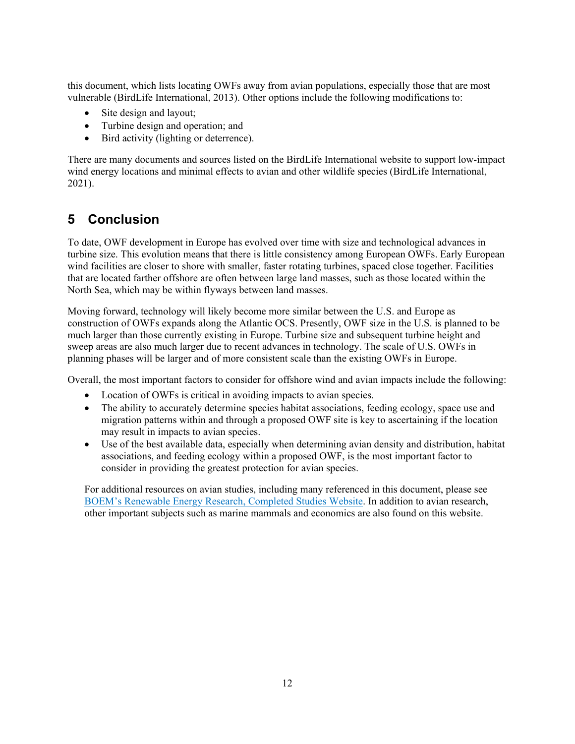this document, which lists locating OWFs away from avian populations, especially those that are most vulnerable (BirdLife International, 2013). Other options include the following modifications to:

- Site design and layout;
- Turbine design and operation; and
- Bird activity (lighting or deterrence).

There are many documents and sources listed on the BirdLife International website to support low-impact wind energy locations and minimal effects to avian and other wildlife species (BirdLife International, 2021).

# <span id="page-18-0"></span>**5 Conclusion**

To date, OWF development in Europe has evolved over time with size and technological advances in turbine size. This evolution means that there is little consistency among European OWFs. Early European wind facilities are closer to shore with smaller, faster rotating turbines, spaced close together. Facilities that are located farther offshore are often between large land masses, such as those located within the North Sea, which may be within flyways between land masses.

Moving forward, technology will likely become more similar between the U.S. and Europe as construction of OWFs expands along the Atlantic OCS. Presently, OWF size in the U.S. is planned to be much larger than those currently existing in Europe. Turbine size and subsequent turbine height and sweep areas are also much larger due to recent advances in technology. The scale of U.S. OWFs in planning phases will be larger and of more consistent scale than the existing OWFs in Europe.

Overall, the most important factors to consider for offshore wind and avian impacts include the following:

- Location of OWFs is critical in avoiding impacts to avian species.
- The ability to accurately determine species habitat associations, feeding ecology, space use and migration patterns within and through a proposed OWF site is key to ascertaining if the location may result in impacts to avian species.
- Use of the best available data, especially when determining avian density and distribution, habitat associations, and feeding ecology within a proposed OWF, is the most important factor to consider in providing the greatest protection for avian species.

For additional resources on avian studies, including many referenced in this document, please see [BOEM's Renewable Energy Research, Completed Studies Website.](https://www.boem.gov/renewable-energy-research-completed-studies) In addition to avian research, other important subjects such as marine mammals and economics are also found on this website.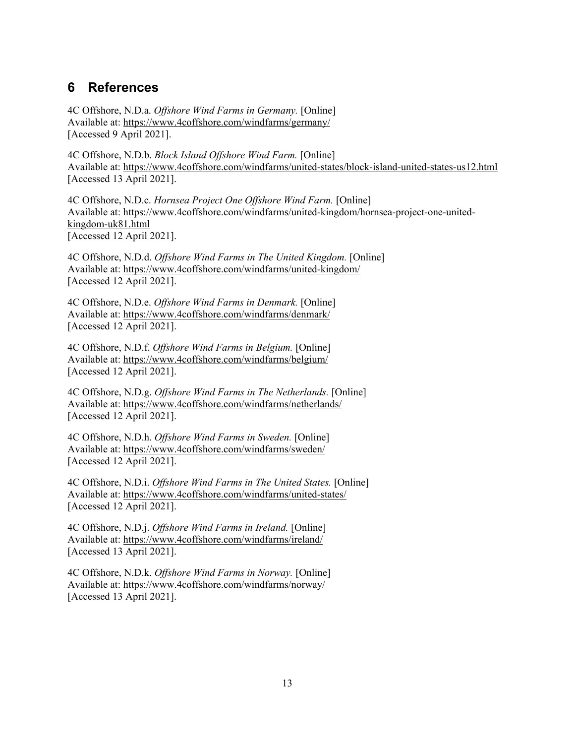# <span id="page-19-0"></span>**6 References**

4C Offshore, N.D.a. *Offshore Wind Farms in Germany.* [Online] Available at: https://www.4coffshore.com/windfarms/germany/ [Accessed 9 April 2021].

4C Offshore, N.D.b. *Block Island Offshore Wind Farm.* [Online] Available at: https://www.4coffshore.com/windfarms/united-states/block-island-united-states-us12.html [Accessed 13 April 2021].

4C Offshore, N.D.c. *Hornsea Project One Offshore Wind Farm.* [Online] Available at: https://www.4coffshore.com/windfarms/united-kingdom/hornsea-project-one-unitedkingdom-uk81.html [Accessed 12 April 2021].

4C Offshore, N.D.d. *Offshore Wind Farms in The United Kingdom.* [Online] Available at: https://www.4coffshore.com/windfarms/united-kingdom/ [Accessed 12 April 2021].

4C Offshore, N.D.e. *Offshore Wind Farms in Denmark.* [Online] Available at: https://www.4coffshore.com/windfarms/denmark/ [Accessed 12 April 2021].

4C Offshore, N.D.f. *Offshore Wind Farms in Belgium.* [Online] Available at: https://www.4coffshore.com/windfarms/belgium/ [Accessed 12 April 2021].

4C Offshore, N.D.g. *Offshore Wind Farms in The Netherlands.* [Online] Available at: https://www.4coffshore.com/windfarms/netherlands/ [Accessed 12 April 2021].

4C Offshore, N.D.h. *Offshore Wind Farms in Sweden.* [Online] Available at: https://www.4coffshore.com/windfarms/sweden/ [Accessed 12 April 2021].

4C Offshore, N.D.i. *Offshore Wind Farms in The United States.* [Online] Available at: https://www.4coffshore.com/windfarms/united-states/ [Accessed 12 April 2021].

4C Offshore, N.D.j. *Offshore Wind Farms in Ireland.* [Online] Available at: https://www.4coffshore.com/windfarms/ireland/ [Accessed 13 April 2021].

4C Offshore, N.D.k. *Offshore Wind Farms in Norway.* [Online] Available at: https://www.4coffshore.com/windfarms/norway/ [Accessed 13 April 2021].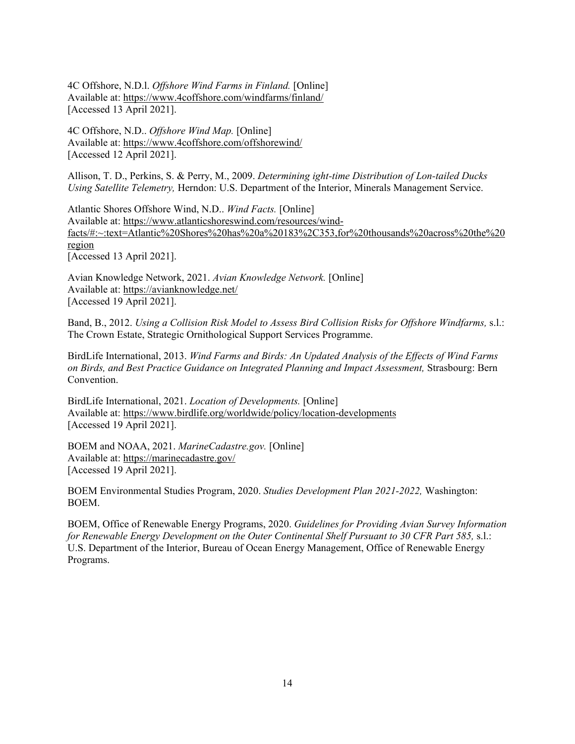4C Offshore, N.D.l. *Offshore Wind Farms in Finland.* [Online] Available at: https://www.4coffshore.com/windfarms/finland/ [Accessed 13 April 2021].

4C Offshore, N.D.. *Offshore Wind Map.* [Online] Available at: https://www.4coffshore.com/offshorewind/ [Accessed 12 April 2021].

Allison, T. D., Perkins, S. & Perry, M., 2009. *Determining ight-time Distribution of Lon-tailed Ducks Using Satellite Telemetry,* Herndon: U.S. Department of the Interior, Minerals Management Service.

Atlantic Shores Offshore Wind, N.D.. *Wind Facts.* [Online] Available at: https://www.atlanticshoreswind.com/resources/windfacts/#:~:text=Atlantic%20Shores%20has%20a%20183%2C353,for%20thousands%20across%20the%20 region [Accessed 13 April 2021].

Avian Knowledge Network, 2021. *Avian Knowledge Network.* [Online] Available at: https://avianknowledge.net/ [Accessed 19 April 2021].

Band, B., 2012. *Using a Collision Risk Model to Assess Bird Collision Risks for Offshore Windfarms,* s.l.: The Crown Estate, Strategic Ornithological Support Services Programme.

BirdLife International, 2013. *Wind Farms and Birds: An Updated Analysis of the Effects of Wind Farms on Birds, and Best Practice Guidance on Integrated Planning and Impact Assessment,* Strasbourg: Bern Convention.

BirdLife International, 2021. *Location of Developments.* [Online] Available at: https://www.birdlife.org/worldwide/policy/location-developments [Accessed 19 April 2021].

BOEM and NOAA, 2021. *MarineCadastre.gov.* [Online] Available at: https://marinecadastre.gov/ [Accessed 19 April 2021].

BOEM Environmental Studies Program, 2020. *Studies Development Plan 2021-2022,* Washington: BOEM.

BOEM, Office of Renewable Energy Programs, 2020. *Guidelines for Providing Avian Survey Information for Renewable Energy Development on the Outer Continental Shelf Pursuant to 30 CFR Part 585,* s.l.: U.S. Department of the Interior, Bureau of Ocean Energy Management, Office of Renewable Energy Programs.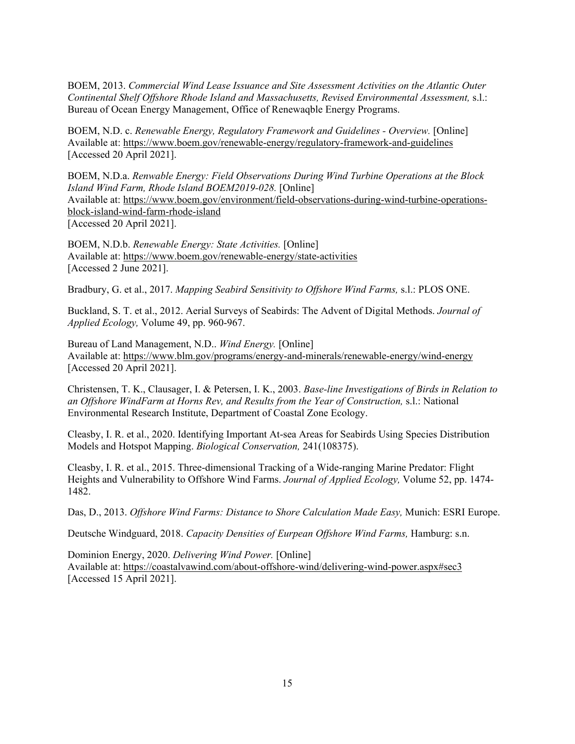BOEM, 2013. *Commercial Wind Lease Issuance and Site Assessment Activities on the Atlantic Outer Continental Shelf Offshore Rhode Island and Massachusetts, Revised Environmental Assessment,* s.l.: Bureau of Ocean Energy Management, Office of Renewaqble Energy Programs.

BOEM, N.D. c. *Renewable Energy, Regulatory Framework and Guidelines - Overview.* [Online] Available at: https://www.boem.gov/renewable-energy/regulatory-framework-and-guidelines [Accessed 20 April 2021].

BOEM, N.D.a. *Renwable Energy: Field Observations During Wind Turbine Operations at the Block Island Wind Farm, Rhode Island BOEM2019-028.* [Online] Available at: https://www.boem.gov/environment/field-observations-during-wind-turbine-operationsblock-island-wind-farm-rhode-island [Accessed 20 April 2021].

BOEM, N.D.b. *Renewable Energy: State Activities.* [Online] Available at: https://www.boem.gov/renewable-energy/state-activities [Accessed 2 June 2021].

Bradbury, G. et al., 2017. *Mapping Seabird Sensitivity to Offshore Wind Farms,* s.l.: PLOS ONE.

Buckland, S. T. et al., 2012. Aerial Surveys of Seabirds: The Advent of Digital Methods. *Journal of Applied Ecology,* Volume 49, pp. 960-967.

Bureau of Land Management, N.D.. *Wind Energy.* [Online] Available at: https://www.blm.gov/programs/energy-and-minerals/renewable-energy/wind-energy [Accessed 20 April 2021].

Christensen, T. K., Clausager, I. & Petersen, I. K., 2003. *Base-line Investigations of Birds in Relation to an Offshore WindFarm at Horns Rev, and Results from the Year of Construction,* s.l.: National Environmental Research Institute, Department of Coastal Zone Ecology.

Cleasby, I. R. et al., 2020. Identifying Important At-sea Areas for Seabirds Using Species Distribution Models and Hotspot Mapping. *Biological Conservation,* 241(108375).

Cleasby, I. R. et al., 2015. Three-dimensional Tracking of a Wide-ranging Marine Predator: Flight Heights and Vulnerability to Offshore Wind Farms. *Journal of Applied Ecology,* Volume 52, pp. 1474- 1482.

Das, D., 2013. *Offshore Wind Farms: Distance to Shore Calculation Made Easy,* Munich: ESRI Europe.

Deutsche Windguard, 2018. *Capacity Densities of Eurpean Offshore Wind Farms,* Hamburg: s.n.

Dominion Energy, 2020. *Delivering Wind Power.* [Online] Available at: https://coastalvawind.com/about-offshore-wind/delivering-wind-power.aspx#sec3 [Accessed 15 April 2021].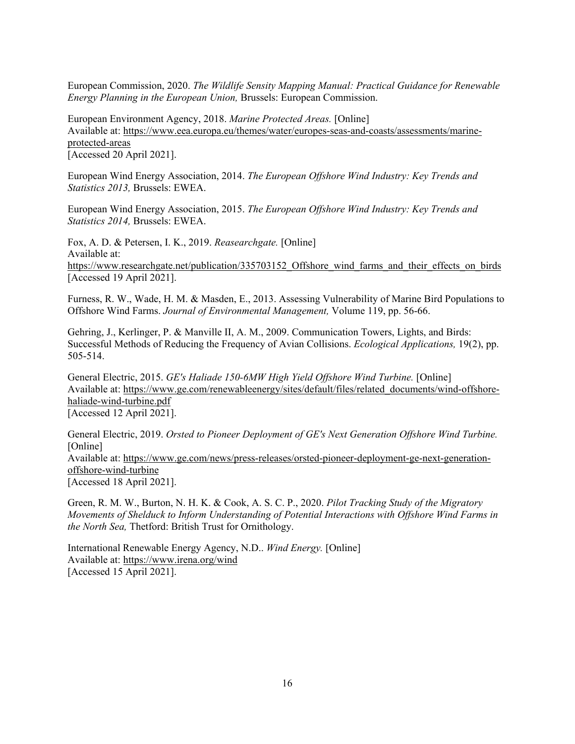European Commission, 2020. *The Wildlife Sensity Mapping Manual: Practical Guidance for Renewable Energy Planning in the European Union,* Brussels: European Commission.

European Environment Agency, 2018. *Marine Protected Areas.* [Online] Available at: https://www.eea.europa.eu/themes/water/europes-seas-and-coasts/assessments/marineprotected-areas

[Accessed 20 April 2021].

European Wind Energy Association, 2014. *The European Offshore Wind Industry: Key Trends and Statistics 2013,* Brussels: EWEA.

European Wind Energy Association, 2015. *The European Offshore Wind Industry: Key Trends and Statistics 2014,* Brussels: EWEA.

Fox, A. D. & Petersen, I. K., 2019. *Reasearchgate.* [Online] Available at: https://www.researchgate.net/publication/335703152 Offshore wind farms and their effects on birds [Accessed 19 April 2021].

Furness, R. W., Wade, H. M. & Masden, E., 2013. Assessing Vulnerability of Marine Bird Populations to Offshore Wind Farms. *Journal of Environmental Management,* Volume 119, pp. 56-66.

Gehring, J., Kerlinger, P. & Manville II, A. M., 2009. Communication Towers, Lights, and Birds: Successful Methods of Reducing the Frequency of Avian Collisions. *Ecological Applications,* 19(2), pp. 505-514.

General Electric, 2015. *GE's Haliade 150-6MW High Yield Offshore Wind Turbine*. [Online] Available at: https://www.ge.com/renewableenergy/sites/default/files/related\_documents/wind-offshorehaliade-wind-turbine.pdf [Accessed 12 April 2021].

General Electric, 2019. *Orsted to Pioneer Deployment of GE's Next Generation Offshore Wind Turbine.*  [Online] Available at: https://www.ge.com/news/press-releases/orsted-pioneer-deployment-ge-next-generationoffshore-wind-turbine [Accessed 18 April 2021].

Green, R. M. W., Burton, N. H. K. & Cook, A. S. C. P., 2020. *Pilot Tracking Study of the Migratory Movements of Shelduck to Inform Understanding of Potential Interactions with Offshore Wind Farms in the North Sea,* Thetford: British Trust for Ornithology.

International Renewable Energy Agency, N.D.. *Wind Energy.* [Online] Available at: https://www.irena.org/wind [Accessed 15 April 2021].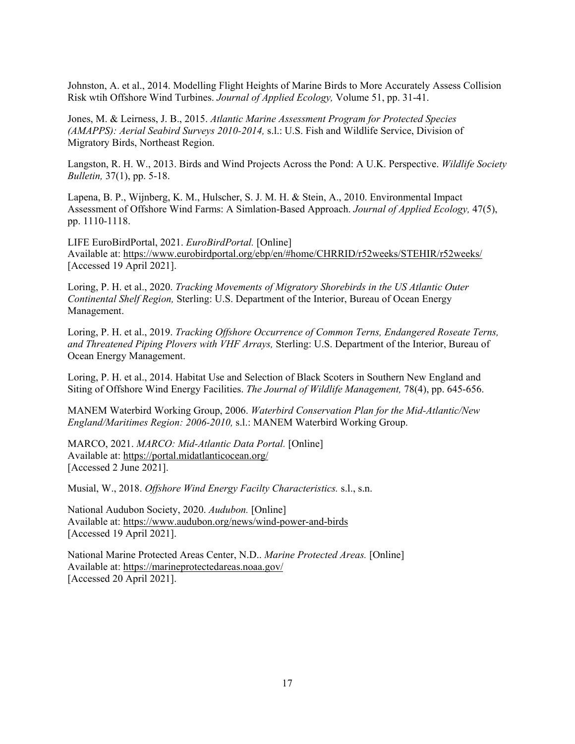Johnston, A. et al., 2014. Modelling Flight Heights of Marine Birds to More Accurately Assess Collision Risk wtih Offshore Wind Turbines. *Journal of Applied Ecology,* Volume 51, pp. 31-41.

Jones, M. & Leirness, J. B., 2015. *Atlantic Marine Assessment Program for Protected Species (AMAPPS): Aerial Seabird Surveys 2010-2014,* s.l.: U.S. Fish and Wildlife Service, Division of Migratory Birds, Northeast Region.

Langston, R. H. W., 2013. Birds and Wind Projects Across the Pond: A U.K. Perspective. *Wildlife Society Bulletin,* 37(1), pp. 5-18.

Lapena, B. P., Wijnberg, K. M., Hulscher, S. J. M. H. & Stein, A., 2010. Environmental Impact Assessment of Offshore Wind Farms: A Simlation-Based Approach. *Journal of Applied Ecology,* 47(5), pp. 1110-1118.

LIFE EuroBirdPortal, 2021. *EuroBirdPortal.* [Online] Available at: https://www.eurobirdportal.org/ebp/en/#home/CHRRID/r52weeks/STEHIR/r52weeks/ [Accessed 19 April 2021].

Loring, P. H. et al., 2020. *Tracking Movements of Migratory Shorebirds in the US Atlantic Outer Continental Shelf Region,* Sterling: U.S. Department of the Interior, Bureau of Ocean Energy Management.

Loring, P. H. et al., 2019. *Tracking Offshore Occurrence of Common Terns, Endangered Roseate Terns, and Threatened Piping Plovers with VHF Arrays,* Sterling: U.S. Department of the Interior, Bureau of Ocean Energy Management.

Loring, P. H. et al., 2014. Habitat Use and Selection of Black Scoters in Southern New England and Siting of Offshore Wind Energy Facilities. *The Journal of Wildlife Management,* 78(4), pp. 645-656.

MANEM Waterbird Working Group, 2006. *Waterbird Conservation Plan for the Mid-Atlantic/New England/Maritimes Region: 2006-2010,* s.l.: MANEM Waterbird Working Group.

MARCO, 2021. *MARCO: Mid-Atlantic Data Portal.* [Online] Available at: https://portal.midatlanticocean.org/ [Accessed 2 June 2021].

Musial, W., 2018. *Offshore Wind Energy Facilty Characteristics.* s.l., s.n.

National Audubon Society, 2020. *Audubon.* [Online] Available at: https://www.audubon.org/news/wind-power-and-birds [Accessed 19 April 2021].

National Marine Protected Areas Center, N.D.. *Marine Protected Areas.* [Online] Available at: https://marineprotectedareas.noaa.gov/ [Accessed 20 April 2021].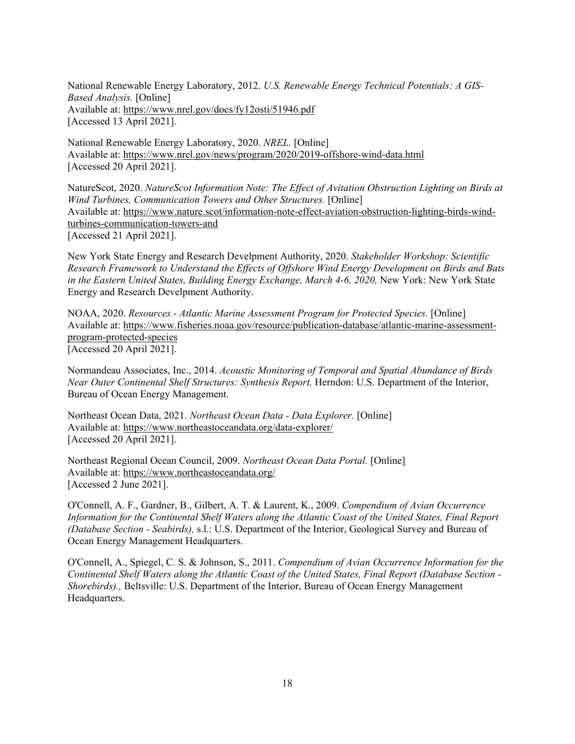National Renewable Energy Laboratory, 2012. *U.S. Renewable Energy Technical Potentials: A GIS-Based Analysis.* [Online] Available at: https://www.nrel.gov/docs/fy12osti/51946.pdf [Accessed 13 April 2021].

National Renewable Energy Laboratory, 2020. *NREL.* [Online] Available at: https://www.nrel.gov/news/program/2020/2019-offshore-wind-data.html [Accessed 20 April 2021].

NatureScot, 2020. *NatureScot Information Note: The Effect of Avitation Obstruction Lighting on Birds at Wind Turbines, Communication Towers and Other Structures.* [Online] Available at: https://www.nature.scot/information-note-effect-aviation-obstruction-lighting-birds-windturbines-communication-towers-and [Accessed 21 April 2021].

New York State Energy and Research Develpment Authority, 2020. *Stakeholder Workshop: Scientific Research Framework to Understand the Effects of Offshore Wind Energy Development on Birds and Bats in the Eastern United States, Building Energy Exchange, March 4-6, 2020, New York: New York State* Energy and Research Develpment Authority.

NOAA, 2020. *Resources - Atlantic Marine Assessment Program for Protected Species.* [Online] Available at: https://www.fisheries.noaa.gov/resource/publication-database/atlantic-marine-assessmentprogram-protected-species [Accessed 20 April 2021].

Normandeau Associates, Inc., 2014. *Acoustic Monitoring of Temporal and Spatial Abundance of Birds Near Outer Continental Shelf Structures: Synthesis Report,* Herndon: U.S. Department of the Interior, Bureau of Ocean Energy Management.

Northeast Ocean Data, 2021. *Northeast Ocean Data - Data Explorer.* [Online] Available at: https://www.northeastoceandata.org/data-explorer/ [Accessed 20 April 2021].

Northeast Regional Ocean Council, 2009. *Northeast Ocean Data Portal.* [Online] Available at: https://www.northeastoceandata.org/ [Accessed 2 June 2021].

O'Connell, A. F., Gardner, B., Gilbert, A. T. & Laurent, K., 2009. *Compendium of Avian Occurrence Information for the Continental Shelf Waters along the Atlantic Coast of the United States, Final Report (Database Section - Seabirds),* s.l.: U.S. Department of the Interior, Geological Survey and Bureau of Ocean Energy Management Headquarters.

O'Connell, A., Spiegel, C. S. & Johnson, S., 2011. *Compendium of Avian Occurrence Information for the Continental Shelf Waters along the Atlantic Coast of the United States, Final Report (Database Section - Shorebirds).,* Beltsville: U.S. Department of the Interior, Bureau of Ocean Energy Management Headquarters.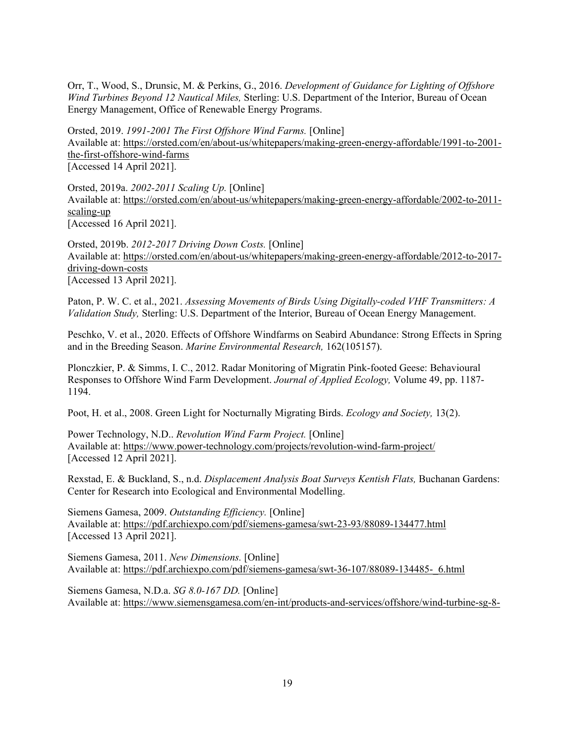Orr, T., Wood, S., Drunsic, M. & Perkins, G., 2016. *Development of Guidance for Lighting of Offshore Wind Turbines Beyond 12 Nautical Miles,* Sterling: U.S. Department of the Interior, Bureau of Ocean Energy Management, Office of Renewable Energy Programs.

Orsted, 2019. *1991-2001 The First Offshore Wind Farms.* [Online] Available at: https://orsted.com/en/about-us/whitepapers/making-green-energy-affordable/1991-to-2001 the-first-offshore-wind-farms [Accessed 14 April 2021].

Orsted, 2019a. *2002-2011 Scaling Up.* [Online] Available at: https://orsted.com/en/about-us/whitepapers/making-green-energy-affordable/2002-to-2011 scaling-up [Accessed 16 April 2021].

Orsted, 2019b. *2012-2017 Driving Down Costs.* [Online] Available at: https://orsted.com/en/about-us/whitepapers/making-green-energy-affordable/2012-to-2017 driving-down-costs [Accessed 13 April 2021].

Paton, P. W. C. et al., 2021. *Assessing Movements of Birds Using Digitally-coded VHF Transmitters: A Validation Study,* Sterling: U.S. Department of the Interior, Bureau of Ocean Energy Management.

Peschko, V. et al., 2020. Effects of Offshore Windfarms on Seabird Abundance: Strong Effects in Spring and in the Breeding Season. *Marine Environmental Research,* 162(105157).

Plonczkier, P. & Simms, I. C., 2012. Radar Monitoring of Migratin Pink-footed Geese: Behavioural Responses to Offshore Wind Farm Development. *Journal of Applied Ecology,* Volume 49, pp. 1187- 1194.

Poot, H. et al., 2008. Green Light for Nocturnally Migrating Birds. *Ecology and Society,* 13(2).

Power Technology, N.D.. *Revolution Wind Farm Project.* [Online] Available at: https://www.power-technology.com/projects/revolution-wind-farm-project/ [Accessed 12 April 2021].

Rexstad, E. & Buckland, S., n.d. *Displacement Analysis Boat Surveys Kentish Flats,* Buchanan Gardens: Center for Research into Ecological and Environmental Modelling.

Siemens Gamesa, 2009. *Outstanding Efficiency.* [Online] Available at: https://pdf.archiexpo.com/pdf/siemens-gamesa/swt-23-93/88089-134477.html [Accessed 13 April 2021].

Siemens Gamesa, 2011. *New Dimensions.* [Online] Available at: https://pdf.archiexpo.com/pdf/siemens-gamesa/swt-36-107/88089-134485-\_6.html

Siemens Gamesa, N.D.a. *SG 8.0-167 DD.* [Online] Available at: https://www.siemensgamesa.com/en-int/products-and-services/offshore/wind-turbine-sg-8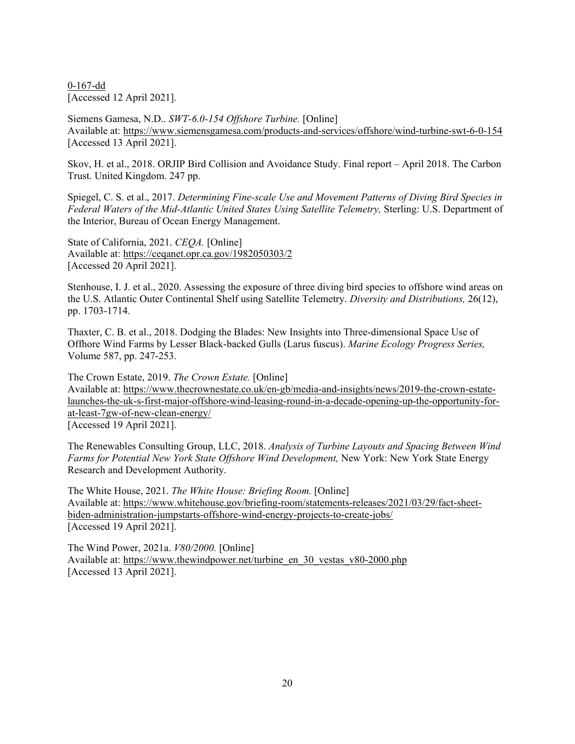0-167-dd [Accessed 12 April 2021].

Siemens Gamesa, N.D.. *SWT-6.0-154 Offshore Turbine.* [Online] Available at: https://www.siemensgamesa.com/products-and-services/offshore/wind-turbine-swt-6-0-154 [Accessed 13 April 2021].

Skov, H. et al., 2018. ORJIP Bird Collision and Avoidance Study. Final report – April 2018. The Carbon Trust. United Kingdom. 247 pp.

Spiegel, C. S. et al., 2017. *Determining Fine-scale Use and Movement Patterns of Diving Bird Species in Federal Waters of the Mid-Atlantic United States Using Satellite Telemetry,* Sterling: U.S. Department of the Interior, Bureau of Ocean Energy Management.

State of California, 2021. *CEQA.* [Online] Available at: https://ceqanet.opr.ca.gov/1982050303/2 [Accessed 20 April 2021].

Stenhouse, I. J. et al., 2020. Assessing the exposure of three diving bird species to offshore wind areas on the U.S. Atlantic Outer Continental Shelf using Satellite Telemetry. *Diversity and Distributions,* 26(12), pp. 1703-1714.

Thaxter, C. B. et al., 2018. Dodging the Blades: New Insights into Three-dimensional Space Use of Offhore Wind Farms by Lesser Black-backed Gulls (Larus fuscus). *Marine Ecology Progress Series,*  Volume 587, pp. 247-253.

The Crown Estate, 2019. *The Crown Estate.* [Online] Available at: https://www.thecrownestate.co.uk/en-gb/media-and-insights/news/2019-the-crown-estatelaunches-the-uk-s-first-major-offshore-wind-leasing-round-in-a-decade-opening-up-the-opportunity-forat-least-7gw-of-new-clean-energy/ [Accessed 19 April 2021].

The Renewables Consulting Group, LLC, 2018. *Analysis of Turbine Layouts and Spacing Between Wind Farms for Potential New York State Offshore Wind Development,* New York: New York State Energy Research and Development Authority.

The White House, 2021. *The White House: Briefing Room.* [Online] Available at: https://www.whitehouse.gov/briefing-room/statements-releases/2021/03/29/fact-sheetbiden-administration-jumpstarts-offshore-wind-energy-projects-to-create-jobs/ [Accessed 19 April 2021].

The Wind Power, 2021a. *V80/2000.* [Online] Available at: https://www.thewindpower.net/turbine\_en\_30\_vestas\_v80-2000.php [Accessed 13 April 2021].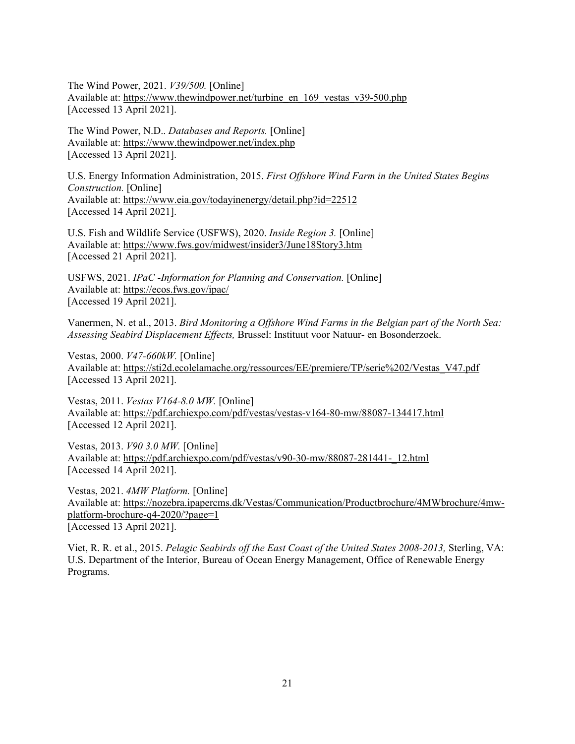The Wind Power, 2021. *V39/500.* [Online] Available at: https://www.thewindpower.net/turbine\_en\_169\_vestas\_v39-500.php [Accessed 13 April 2021].

The Wind Power, N.D.. *Databases and Reports.* [Online] Available at: https://www.thewindpower.net/index.php [Accessed 13 April 2021].

U.S. Energy Information Administration, 2015. *First Offshore Wind Farm in the United States Begins Construction.* [Online] Available at: https://www.eia.gov/todayinenergy/detail.php?id=22512 [Accessed 14 April 2021].

U.S. Fish and Wildlife Service (USFWS), 2020. *Inside Region 3.* [Online] Available at: https://www.fws.gov/midwest/insider3/June18Story3.htm [Accessed 21 April 2021].

USFWS, 2021. *IPaC -Information for Planning and Conservation.* [Online] Available at: https://ecos.fws.gov/ipac/ [Accessed 19 April 2021].

Vanermen, N. et al., 2013. *Bird Monitoring a Offshore Wind Farms in the Belgian part of the North Sea: Assessing Seabird Displacement Effects,* Brussel: Instituut voor Natuur- en Bosonderzoek.

Vestas, 2000. *V47-660kW.* [Online] Available at: https://sti2d.ecolelamache.org/ressources/EE/premiere/TP/serie%202/Vestas\_V47.pdf [Accessed 13 April 2021].

Vestas, 2011. *Vestas V164-8.0 MW.* [Online] Available at: https://pdf.archiexpo.com/pdf/vestas/vestas-v164-80-mw/88087-134417.html [Accessed 12 April 2021].

Vestas, 2013. *V90 3.0 MW.* [Online] Available at: https://pdf.archiexpo.com/pdf/vestas/v90-30-mw/88087-281441-\_12.html [Accessed 14 April 2021].

Vestas, 2021. *4MW Platform.* [Online] Available at: https://nozebra.ipapercms.dk/Vestas/Communication/Productbrochure/4MWbrochure/4mwplatform-brochure-q4-2020/?page=1 [Accessed 13 April 2021].

Viet, R. R. et al., 2015. *Pelagic Seabirds off the East Coast of the United States 2008-2013,* Sterling, VA: U.S. Department of the Interior, Bureau of Ocean Energy Management, Office of Renewable Energy Programs.